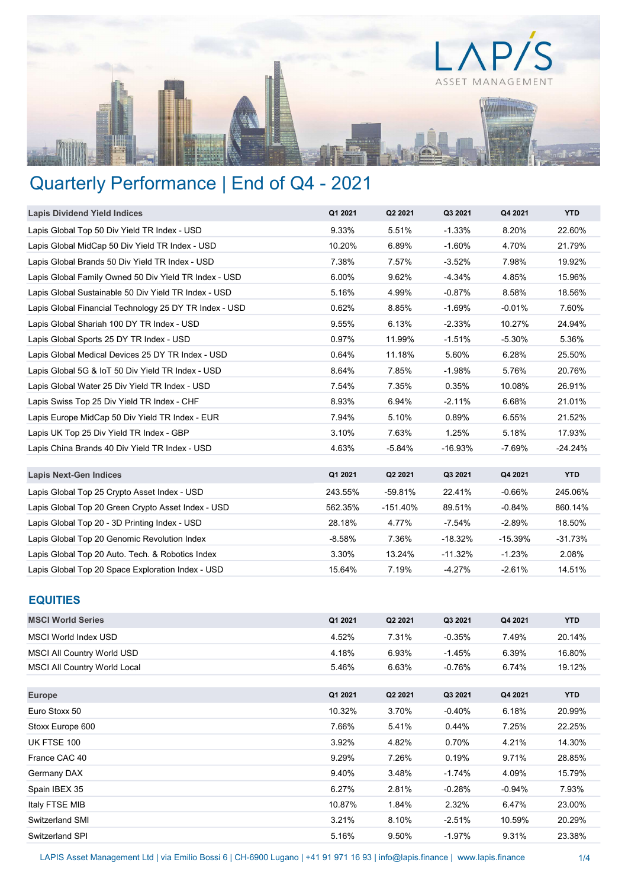

# Quarterly Performance | End of Q4 - 2021

| <b>Lapis Dividend Yield Indices</b>                    | Q1 2021  | Q2 2021    | Q3 2021   | Q4 2021   | <b>YTD</b> |
|--------------------------------------------------------|----------|------------|-----------|-----------|------------|
| Lapis Global Top 50 Div Yield TR Index - USD           | 9.33%    | 5.51%      | $-1.33%$  | 8.20%     | 22.60%     |
| Lapis Global MidCap 50 Div Yield TR Index - USD        | 10.20%   | 6.89%      | $-1.60%$  | 4.70%     | 21.79%     |
| Lapis Global Brands 50 Div Yield TR Index - USD        | 7.38%    | 7.57%      | $-3.52%$  | 7.98%     | 19.92%     |
| Lapis Global Family Owned 50 Div Yield TR Index - USD  | 6.00%    | 9.62%      | $-4.34%$  | 4.85%     | 15.96%     |
| Lapis Global Sustainable 50 Div Yield TR Index - USD   | 5.16%    | 4.99%      | $-0.87%$  | 8.58%     | 18.56%     |
| Lapis Global Financial Technology 25 DY TR Index - USD | 0.62%    | 8.85%      | $-1.69%$  | $-0.01%$  | 7.60%      |
| Lapis Global Shariah 100 DY TR Index - USD             | 9.55%    | 6.13%      | $-2.33%$  | 10.27%    | 24.94%     |
| Lapis Global Sports 25 DY TR Index - USD               | 0.97%    | 11.99%     | $-1.51%$  | $-5.30%$  | 5.36%      |
| Lapis Global Medical Devices 25 DY TR Index - USD      | 0.64%    | 11.18%     | 5.60%     | 6.28%     | 25.50%     |
| Lapis Global 5G & IoT 50 Div Yield TR Index - USD      | 8.64%    | 7.85%      | $-1.98%$  | 5.76%     | 20.76%     |
| Lapis Global Water 25 Div Yield TR Index - USD         | 7.54%    | 7.35%      | 0.35%     | 10.08%    | 26.91%     |
| Lapis Swiss Top 25 Div Yield TR Index - CHF            | 8.93%    | 6.94%      | $-2.11%$  | 6.68%     | 21.01%     |
| Lapis Europe MidCap 50 Div Yield TR Index - EUR        | 7.94%    | 5.10%      | 0.89%     | 6.55%     | 21.52%     |
| Lapis UK Top 25 Div Yield TR Index - GBP               | 3.10%    | 7.63%      | 1.25%     | 5.18%     | 17.93%     |
| Lapis China Brands 40 Div Yield TR Index - USD         | 4.63%    | $-5.84%$   | $-16.93%$ | $-7.69%$  | $-24.24%$  |
|                                                        |          |            |           |           |            |
| <b>Lapis Next-Gen Indices</b>                          | Q1 2021  | Q2 2021    | Q3 2021   | Q4 2021   | <b>YTD</b> |
| Lapis Global Top 25 Crypto Asset Index - USD           | 243.55%  | $-59.81%$  | 22.41%    | $-0.66%$  | 245.06%    |
| Lapis Global Top 20 Green Crypto Asset Index - USD     | 562.35%  | $-151.40%$ | 89.51%    | $-0.84%$  | 860.14%    |
| Lapis Global Top 20 - 3D Printing Index - USD          | 28.18%   | 4.77%      | $-7.54%$  | $-2.89%$  | 18.50%     |
| Lapis Global Top 20 Genomic Revolution Index           | $-8.58%$ | 7.36%      | $-18.32%$ | $-15.39%$ | $-31.73%$  |
| Lapis Global Top 20 Auto. Tech. & Robotics Index       | 3.30%    | 13.24%     | $-11.32%$ | $-1.23%$  | 2.08%      |
| Lapis Global Top 20 Space Exploration Index - USD      | 15.64%   | 7.19%      | $-4.27%$  | $-2.61%$  | 14.51%     |

## EQUITIES

| <b>MSCI World Series</b>            | Q1 2021 | Q2 2021 | Q3 2021  | Q4 2021   | <b>YTD</b> |
|-------------------------------------|---------|---------|----------|-----------|------------|
| MSCI World Index USD                | 4.52%   | 7.31%   | $-0.35%$ | 7.49%     | 20.14%     |
| <b>MSCI All Country World USD</b>   | 4.18%   | 6.93%   | $-1.45%$ | 6.39%     | 16.80%     |
| <b>MSCI All Country World Local</b> | 5.46%   | 6.63%   | $-0.76%$ | 6.74%     | 19.12%     |
|                                     |         |         |          |           |            |
| <b>Europe</b>                       | Q1 2021 | Q2 2021 | Q3 2021  | Q4 2021   | <b>YTD</b> |
| Euro Stoxx 50                       | 10.32%  | 3.70%   | $-0.40%$ | 6.18%     | 20.99%     |
| Stoxx Europe 600                    | 7.66%   | 5.41%   | 0.44%    | 7.25%     | 22.25%     |
| UK FTSE 100                         | 3.92%   | 4.82%   | 0.70%    | 4.21%     | 14.30%     |
| France CAC 40                       | 9.29%   | 7.26%   | 0.19%    | 9.71%     | 28.85%     |
| Germany DAX                         | 9.40%   | 3.48%   | $-1.74%$ | 4.09%     | 15.79%     |
| Spain IBEX 35                       | 6.27%   | 2.81%   | $-0.28%$ | $-0.94\%$ | 7.93%      |
| Italy FTSE MIB                      | 10.87%  | 1.84%   | 2.32%    | 6.47%     | 23.00%     |
| Switzerland SMI                     | 3.21%   | 8.10%   | $-2.51%$ | 10.59%    | 20.29%     |
| Switzerland SPI                     | 5.16%   | 9.50%   | $-1.97%$ | 9.31%     | 23.38%     |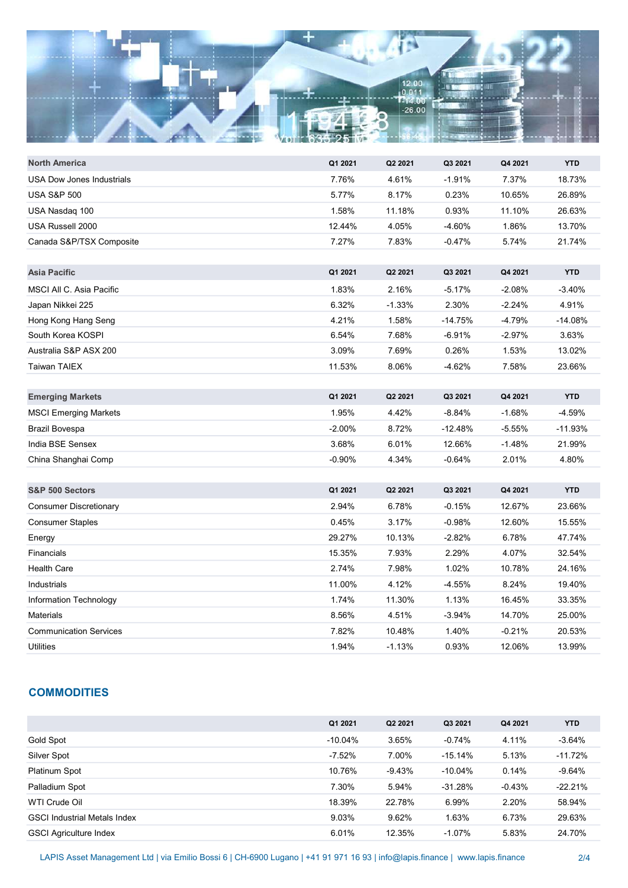

| <b>North America</b>          | Q1 2021  | Q2 2021  | Q3 2021   | Q4 2021  | <b>YTD</b> |
|-------------------------------|----------|----------|-----------|----------|------------|
| USA Dow Jones Industrials     | 7.76%    | 4.61%    | $-1.91%$  | 7.37%    | 18.73%     |
| <b>USA S&amp;P 500</b>        | 5.77%    | 8.17%    | 0.23%     | 10.65%   | 26.89%     |
| USA Nasdaq 100                | 1.58%    | 11.18%   | 0.93%     | 11.10%   | 26.63%     |
| USA Russell 2000              | 12.44%   | 4.05%    | $-4.60%$  | 1.86%    | 13.70%     |
| Canada S&P/TSX Composite      | 7.27%    | 7.83%    | $-0.47%$  | 5.74%    | 21.74%     |
|                               |          |          |           |          |            |
| <b>Asia Pacific</b>           | Q1 2021  | Q2 2021  | Q3 2021   | Q4 2021  | <b>YTD</b> |
| MSCI All C. Asia Pacific      | 1.83%    | 2.16%    | $-5.17%$  | $-2.08%$ | $-3.40%$   |
| Japan Nikkei 225              | 6.32%    | $-1.33%$ | 2.30%     | $-2.24%$ | 4.91%      |
| Hong Kong Hang Seng           | 4.21%    | 1.58%    | $-14.75%$ | -4.79%   | $-14.08%$  |
| South Korea KOSPI             | 6.54%    | 7.68%    | $-6.91%$  | $-2.97%$ | 3.63%      |
| Australia S&P ASX 200         | 3.09%    | 7.69%    | 0.26%     | 1.53%    | 13.02%     |
| <b>Taiwan TAIEX</b>           | 11.53%   | 8.06%    | $-4.62%$  | 7.58%    | 23.66%     |
|                               |          |          |           |          |            |
| <b>Emerging Markets</b>       | Q1 2021  | Q2 2021  | Q3 2021   | Q4 2021  | <b>YTD</b> |
| <b>MSCI Emerging Markets</b>  | 1.95%    | 4.42%    | $-8.84%$  | $-1.68%$ | -4.59%     |
| Brazil Bovespa                | $-2.00%$ | 8.72%    | $-12.48%$ | $-5.55%$ | $-11.93%$  |
| India BSE Sensex              | 3.68%    | 6.01%    | 12.66%    | $-1.48%$ | 21.99%     |
| China Shanghai Comp           | $-0.90%$ | 4.34%    | $-0.64%$  | 2.01%    | 4.80%      |
|                               |          |          |           |          |            |
| S&P 500 Sectors               | Q1 2021  | Q2 2021  | Q3 2021   | Q4 2021  | <b>YTD</b> |
| <b>Consumer Discretionary</b> | 2.94%    | 6.78%    | $-0.15%$  | 12.67%   | 23.66%     |
| <b>Consumer Staples</b>       | 0.45%    | 3.17%    | $-0.98%$  | 12.60%   | 15.55%     |
| Energy                        | 29.27%   | 10.13%   | $-2.82%$  | 6.78%    | 47.74%     |
| <b>Financials</b>             | 15.35%   | 7.93%    | 2.29%     | 4.07%    | 32.54%     |
| <b>Health Care</b>            | 2.74%    | 7.98%    | 1.02%     | 10.78%   | 24.16%     |
| Industrials                   | 11.00%   | 4.12%    | $-4.55%$  | 8.24%    | 19.40%     |
| Information Technology        | 1.74%    | 11.30%   | 1.13%     | 16.45%   | 33.35%     |
| <b>Materials</b>              | 8.56%    | 4.51%    | $-3.94%$  | 14.70%   | 25.00%     |
| <b>Communication Services</b> | 7.82%    | 10.48%   | 1.40%     | $-0.21%$ | 20.53%     |
| Utilities                     | 1.94%    | $-1.13%$ | 0.93%     | 12.06%   | 13.99%     |
|                               |          |          |           |          |            |

## **COMMODITIES**

|                                     | Q1 2021    | Q2 2021  | Q3 2021    | Q4 2021 | YTD.      |
|-------------------------------------|------------|----------|------------|---------|-----------|
| Gold Spot                           | $-10.04\%$ | 3.65%    | $-0.74%$   | 4.11%   | $-3.64%$  |
| Silver Spot                         | $-7.52\%$  | 7.00%    | $-15.14%$  | 5.13%   | $-11.72%$ |
| Platinum Spot                       | 10.76%     | $-9.43%$ | $-10.04\%$ | 0.14%   | $-9.64%$  |
| Palladium Spot                      | 7.30%      | 5.94%    | $-31.28%$  | -0.43%  | $-22.21%$ |
| WTI Crude Oil                       | 18.39%     | 22.78%   | 6.99%      | 2.20%   | 58.94%    |
| <b>GSCI Industrial Metals Index</b> | 9.03%      | 9.62%    | 1.63%      | 6.73%   | 29.63%    |
| <b>GSCI Agriculture Index</b>       | 6.01%      | 12.35%   | $-1.07\%$  | 5.83%   | 24.70%    |
|                                     |            |          |            |         |           |

LAPIS Asset Management Ltd | via Emilio Bossi 6 | CH-6900 Lugano | +41 91 971 16 93 | info@lapis.finance | www.lapis.finance 2/4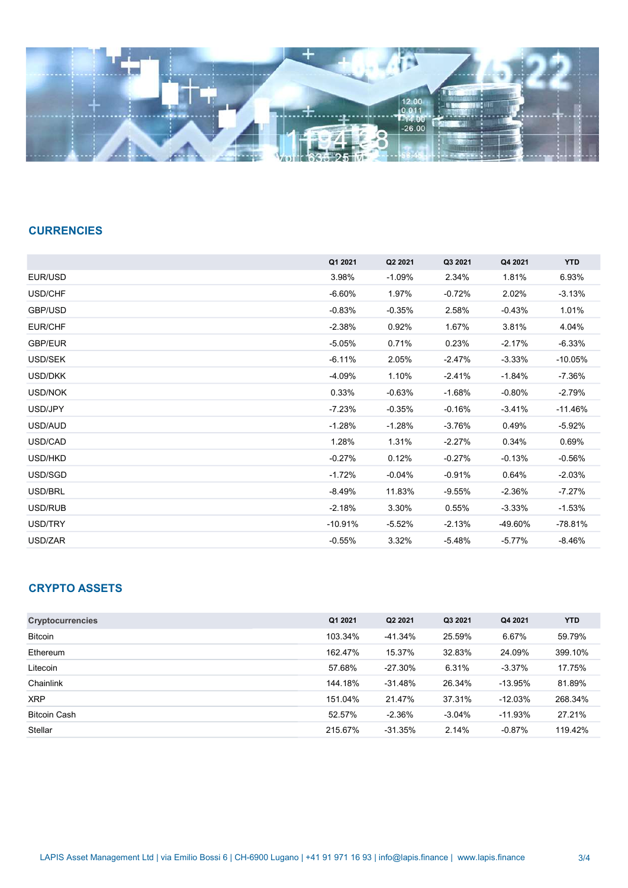

### **CURRENCIES**

| Q1 2021   | Q2 2021  | Q3 2021  | Q4 2021   | <b>YTD</b> |
|-----------|----------|----------|-----------|------------|
| 3.98%     | $-1.09%$ | 2.34%    | 1.81%     | 6.93%      |
| $-6.60%$  | 1.97%    | $-0.72%$ | 2.02%     | $-3.13%$   |
| $-0.83%$  | $-0.35%$ | 2.58%    | $-0.43%$  | 1.01%      |
| $-2.38%$  | 0.92%    | 1.67%    | 3.81%     | 4.04%      |
| $-5.05%$  | 0.71%    | 0.23%    | $-2.17\%$ | $-6.33%$   |
| $-6.11%$  | 2.05%    | $-2.47%$ | $-3.33%$  | $-10.05%$  |
| $-4.09%$  | 1.10%    | $-2.41%$ | -1.84%    | -7.36%     |
| 0.33%     | $-0.63%$ | $-1.68%$ | $-0.80%$  | $-2.79%$   |
| $-7.23%$  | $-0.35%$ | $-0.16%$ | $-3.41%$  | $-11.46%$  |
| $-1.28%$  | $-1.28%$ | $-3.76%$ | 0.49%     | $-5.92%$   |
| 1.28%     | 1.31%    | $-2.27%$ | 0.34%     | 0.69%      |
| $-0.27%$  | 0.12%    | $-0.27%$ | $-0.13%$  | $-0.56\%$  |
| $-1.72%$  | $-0.04%$ | $-0.91%$ | 0.64%     | $-2.03%$   |
| $-8.49%$  | 11.83%   | $-9.55%$ | $-2.36%$  | $-7.27%$   |
| $-2.18%$  | 3.30%    | 0.55%    | $-3.33%$  | $-1.53%$   |
| $-10.91%$ | -5.52%   | $-2.13%$ | -49.60%   | -78.81%    |
| $-0.55%$  | 3.32%    | $-5.48%$ | $-5.77%$  | $-8.46%$   |
|           |          |          |           |            |

## CRYPTO ASSETS

| <b>Cryptocurrencies</b> | Q1 2021 | Q <sub>2</sub> 2021 | Q3 2021   | Q4 2021   | YTD.    |
|-------------------------|---------|---------------------|-----------|-----------|---------|
| <b>Bitcoin</b>          | 103.34% | -41.34%             | 25.59%    | 6.67%     | 59.79%  |
| Ethereum                | 162.47% | 15.37%              | 32.83%    | 24.09%    | 399.10% |
| Litecoin                | 57.68%  | -27.30%             | 6.31%     | $-3.37\%$ | 17.75%  |
| Chainlink               | 144.18% | $-31.48%$           | 26.34%    | $-13.95%$ | 81.89%  |
| <b>XRP</b>              | 151.04% | 21.47%              | 37.31%    | $-12.03%$ | 268.34% |
| <b>Bitcoin Cash</b>     | 52.57%  | $-2.36%$            | $-3.04\%$ | $-11.93%$ | 27.21%  |
| Stellar                 | 215.67% | -31.35%             | 2.14%     | $-0.87\%$ | 119.42% |